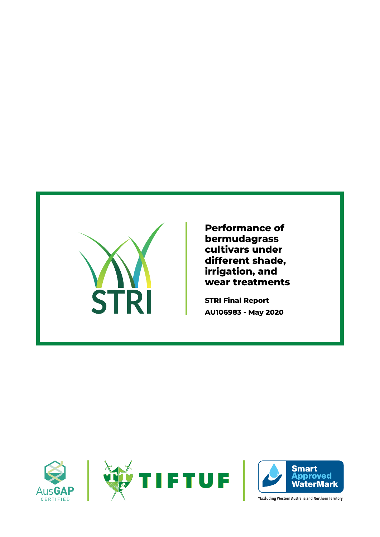

**Performance of bermudagrass cultivars under different shade, irrigation, and wear treatments**

**STRI Final Report AU106983 - May 2020**

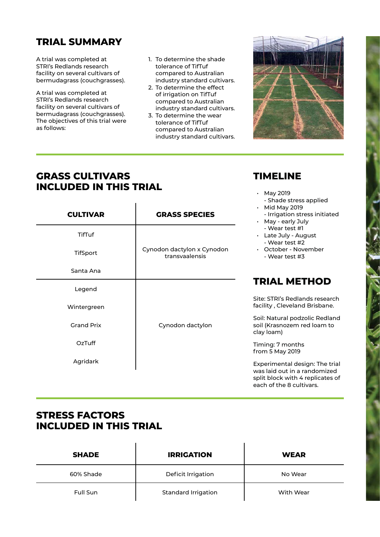# **TRIAL SUMMARY**

A trial was completed at STRI's Redlands research facility on several cultivars of bermudagrass (couchgrasses).

A trial was completed at STRI's Redlands research facility on several cultivars of bermudagrass (couchgrasses). The objectives of this trial were as follows:

- 1. To determine the shade tolerance of TifTuf compared to Australian industry standard cultivars.
- 2. To determine the effect of irrigation on TifTuf compared to Australian industry standard cultivars.
- 3. To determine the wear tolerance of TifTuf compared to Australian industry standard cultivars.



each of the 8 cultivars.

**TIMELINE**

• May 2019

## **GRASS CULTIVARS INCLUDED IN THIS TRIAL**

| <b>CULTIVAR</b>   | <b>GRASS SPECIES</b>                         | - Shade stress applied<br><b>Mid May 2019</b><br>- Irrigation stress initiated<br>$\cdot$ May - early July |
|-------------------|----------------------------------------------|------------------------------------------------------------------------------------------------------------|
| TifTuf            |                                              | - Wear test #1<br>• Late July - August<br>- Wear test #2                                                   |
| <b>TifSport</b>   | Cynodon dactylon x Cynodon<br>transvaalensis | October - November<br>- Wear test #3                                                                       |
| Santa Ana         |                                              |                                                                                                            |
| Legend            |                                              | <b>TRIAL METHOD</b>                                                                                        |
| Wintergreen       |                                              | Site: STRI's Redlands research<br>facility, Cleveland Brisbane.                                            |
| <b>Grand Prix</b> | Cynodon dactylon                             | Soil: Natural podzolic Redland<br>soil (Krasnozem red loam to<br>clay loam)                                |
| OzTuff            |                                              | Timing: 7 months<br>from 5 May 2019                                                                        |
| Agridark          |                                              | Experimental design: The trial<br>was laid out in a randomized<br>split block with 4 replicates of         |

### **STRESS FACTORS INCLUDED IN THIS TRIAL**

| <b>SHADE</b> | <b>IRRIGATION</b>          | <b>WEAR</b> |
|--------------|----------------------------|-------------|
| 60% Shade    | Deficit Irrigation         | No Wear     |
| Full Sun     | <b>Standard Irrigation</b> | With Wear   |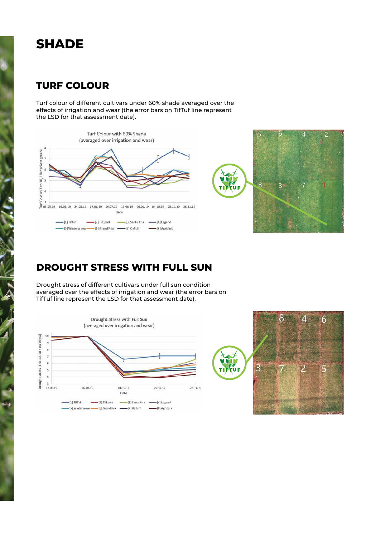# **SHADE**

## **TURF COLOUR**

Turf colour of different cultivars under 60% shade averaged over the effects of irrigation and wear (the error bars on TifTuf line represent the LSD for that assessment date).



## **DROUGHT STRESS WITH FULL SUN**

Drought stress of different cultivars under full sun condition averaged over the effects of irrigation and wear (the error bars on TifTuf line represent the LSD for that assessment date).



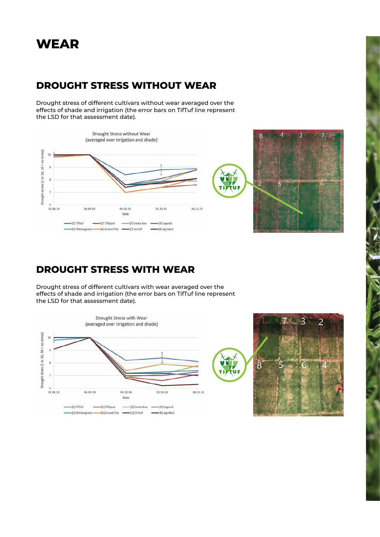# **WEAR**

## **DROUGHT STRESS WITHOUT WEAR**

Drought stress of different cultivars without wear averaged over the effects of shade and irrigation (the error bars on TifTuf line represent the LSD for that assessment date).



### **DROUGHT STRESS WITH WEAR**

Drought stress of different cultivars with wear averaged over the effects of shade and irrigation (the error bars on TifTuf line represent the LSD for that assessment date).